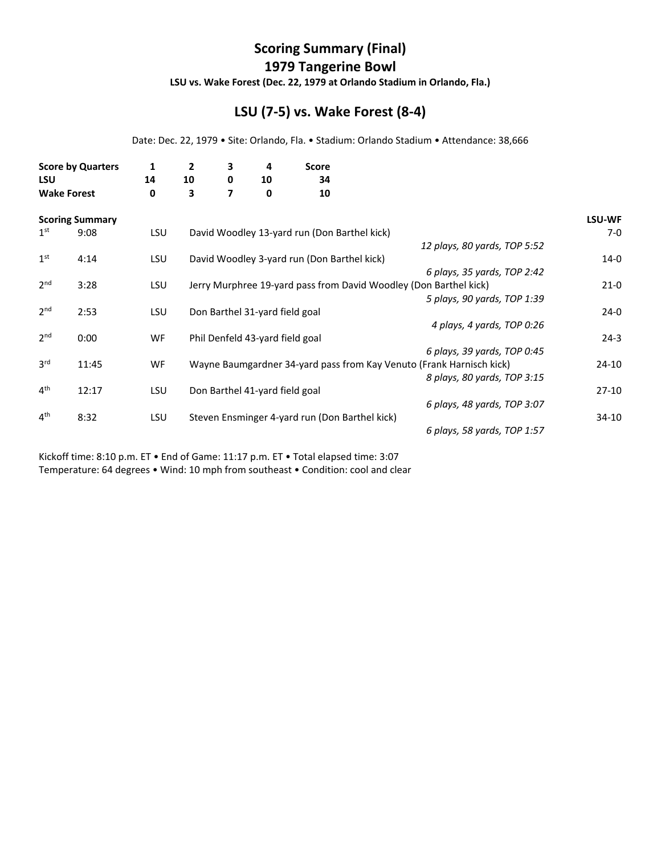## **Scoring Summary (Final) 1979 Tangerine Bowl**

**LSU vs. Wake Forest (Dec. 22, 1979 at Orlando Stadium in Orlando, Fla.)**

## **LSU (7‐5) vs. Wake Forest (8‐4)**

Date: Dec. 22, 1979 • Site: Orlando, Fla. • Stadium: Orlando Stadium • Attendance: 38,666

|       | 1                                                                        | $\mathbf{2}$ | 3  | 4      | <b>Score</b> |                                                                                                                 |                                                                                                                                               |                                                                                                                                                                          |
|-------|--------------------------------------------------------------------------|--------------|----|--------|--------------|-----------------------------------------------------------------------------------------------------------------|-----------------------------------------------------------------------------------------------------------------------------------------------|--------------------------------------------------------------------------------------------------------------------------------------------------------------------------|
|       |                                                                          |              |    |        |              |                                                                                                                 |                                                                                                                                               |                                                                                                                                                                          |
|       | 0                                                                        | 3            |    | 0      |              |                                                                                                                 |                                                                                                                                               |                                                                                                                                                                          |
|       |                                                                          |              |    |        |              |                                                                                                                 |                                                                                                                                               | <b>LSU-WF</b>                                                                                                                                                            |
| 9:08  | <b>LSU</b>                                                               |              |    |        |              |                                                                                                                 |                                                                                                                                               | $7-0$                                                                                                                                                                    |
|       |                                                                          |              |    |        |              |                                                                                                                 | 12 plays, 80 yards, TOP 5:52                                                                                                                  |                                                                                                                                                                          |
| 4:14  | <b>LSU</b>                                                               |              |    |        |              |                                                                                                                 |                                                                                                                                               | $14-0$                                                                                                                                                                   |
|       |                                                                          |              |    |        |              |                                                                                                                 | 6 plays, 35 yards, TOP 2:42                                                                                                                   |                                                                                                                                                                          |
| 3:28  | <b>LSU</b>                                                               |              |    |        |              |                                                                                                                 |                                                                                                                                               | $21-0$                                                                                                                                                                   |
|       |                                                                          |              |    |        |              |                                                                                                                 | 5 plays, 90 yards, TOP 1:39                                                                                                                   |                                                                                                                                                                          |
| 2:53  | <b>LSU</b>                                                               |              |    |        |              |                                                                                                                 |                                                                                                                                               | $24-0$                                                                                                                                                                   |
|       |                                                                          |              |    |        |              |                                                                                                                 | 4 plays, 4 yards, TOP 0:26                                                                                                                    |                                                                                                                                                                          |
| 0:00  | WF                                                                       |              |    |        |              |                                                                                                                 |                                                                                                                                               | $24-3$                                                                                                                                                                   |
|       |                                                                          |              |    |        |              |                                                                                                                 | 6 plays, 39 yards, TOP 0:45                                                                                                                   |                                                                                                                                                                          |
| 11:45 | WF                                                                       |              |    |        |              |                                                                                                                 |                                                                                                                                               | $24-10$                                                                                                                                                                  |
|       |                                                                          |              |    |        |              |                                                                                                                 |                                                                                                                                               |                                                                                                                                                                          |
| 12:17 | <b>LSU</b>                                                               |              |    |        |              |                                                                                                                 |                                                                                                                                               | $27-10$                                                                                                                                                                  |
|       |                                                                          |              |    |        |              |                                                                                                                 | 6 plays, 48 yards, TOP 3:07                                                                                                                   |                                                                                                                                                                          |
| 8:32  | LSU                                                                      |              |    |        |              |                                                                                                                 |                                                                                                                                               | $34-10$                                                                                                                                                                  |
|       |                                                                          |              |    |        |              |                                                                                                                 | 6 plays, 58 yards, TOP 1:57                                                                                                                   |                                                                                                                                                                          |
|       | <b>Score by Quarters</b><br><b>Wake Forest</b><br><b>Scoring Summary</b> | 14           | 10 | 0<br>7 | 10           | 34<br>10<br>Don Barthel 31-yard field goal<br>Phil Denfeld 43-yard field goal<br>Don Barthel 41-yard field goal | David Woodley 13-yard run (Don Barthel kick)<br>David Woodley 3-yard run (Don Barthel kick)<br>Steven Ensminger 4-yard run (Don Barthel kick) | Jerry Murphree 19-yard pass from David Woodley (Don Barthel kick)<br>Wayne Baumgardner 34-yard pass from Kay Venuto (Frank Harnisch kick)<br>8 plays, 80 yards, TOP 3:15 |

Kickoff time: 8:10 p.m. ET • End of Game: 11:17 p.m. ET • Total elapsed time: 3:07 Temperature: 64 degrees • Wind: 10 mph from southeast • Condition: cool and clear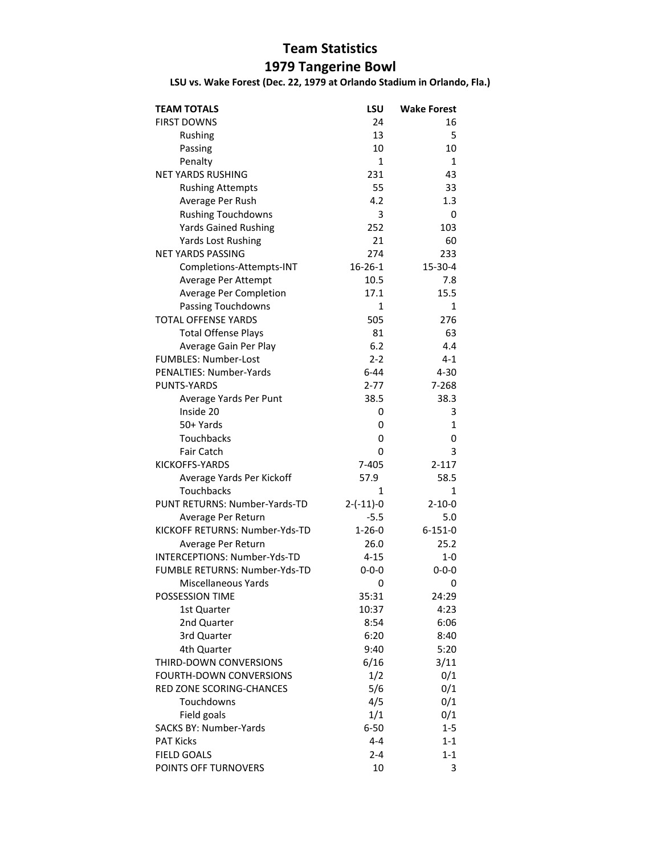## **Team Statistics**

## **1979 Tangerine Bowl**

**LSU vs. Wake Forest (Dec. 22, 1979 at Orlando Stadium in Orlando, Fla.)**

| <b>TEAM TOTALS</b>             | LSU           | <b>Wake Forest</b> |
|--------------------------------|---------------|--------------------|
| <b>FIRST DOWNS</b>             | 24            | 16                 |
| Rushing                        | 13            | 5                  |
| Passing                        | 10            | 10                 |
| Penalty                        | $\mathbf{1}$  | $\mathbf{1}$       |
| <b>NET YARDS RUSHING</b>       | 231           | 43                 |
| <b>Rushing Attempts</b>        | 55            | 33                 |
| Average Per Rush               | 4.2           | 1.3                |
| <b>Rushing Touchdowns</b>      | 3             | 0                  |
| <b>Yards Gained Rushing</b>    | 252           | 103                |
| <b>Yards Lost Rushing</b>      | 21            | 60                 |
| <b>NET YARDS PASSING</b>       | 274           | 233                |
| Completions-Attempts-INT       | $16 - 26 - 1$ | 15-30-4            |
| Average Per Attempt            | 10.5          | 7.8                |
| Average Per Completion         | 17.1          | 15.5               |
| Passing Touchdowns             | 1             | 1                  |
| <b>TOTAL OFFENSE YARDS</b>     | 505           | 276                |
| <b>Total Offense Plays</b>     | 81            | 63                 |
| Average Gain Per Play          | 6.2           | 4.4                |
| FUMBLES: Number-Lost           | $2 - 2$       | $4 - 1$            |
| PENALTIES: Number-Yards        | $6 - 44$      | $4 - 30$           |
| PUNTS-YARDS                    | $2 - 77$      | 7-268              |
| Average Yards Per Punt         | 38.5          | 38.3               |
| Inside 20                      | 0             | 3                  |
| 50+ Yards                      | 0             | 1                  |
| Touchbacks                     | 0             | 0                  |
| <b>Fair Catch</b>              | 0             | 3                  |
| KICKOFFS-YARDS                 | 7-405         | 2-117              |
| Average Yards Per Kickoff      | 57.9          | 58.5               |
| Touchbacks                     | 1             | 1                  |
| PUNT RETURNS: Number-Yards-TD  | $2-(-11)-0$   | $2 - 10 - 0$       |
| Average Per Return             | $-5.5$        | 5.0                |
| KICKOFF RETURNS: Number-Yds-TD | $1 - 26 - 0$  | $6 - 151 - 0$      |
| Average Per Return             | 26.0          | 25.2               |
| INTERCEPTIONS: Number-Yds-TD   | $4 - 15$      | $1-0$              |
| FUMBLE RETURNS: Number-Yds-TD  | $0 - 0 - 0$   | $0 - 0 - 0$        |
| Miscellaneous Yards            | 0             | 0                  |
| POSSESSION TIME                | 35:31         | 24:29              |
| 1st Quarter                    | 10:37         | 4:23               |
| 2nd Quarter                    | 8:54          | 6:06               |
| 3rd Quarter                    | 6:20          | 8:40               |
| 4th Quarter                    | 9:40          | 5:20               |
| THIRD-DOWN CONVERSIONS         | 6/16          | 3/11               |
| <b>FOURTH-DOWN CONVERSIONS</b> | 1/2           | 0/1                |
| RED ZONE SCORING-CHANCES       | 5/6           | 0/1                |
| Touchdowns                     | 4/5           | 0/1                |
| Field goals                    | 1/1           | 0/1                |
| <b>SACKS BY: Number-Yards</b>  | $6 - 50$      | $1 - 5$            |
| <b>PAT Kicks</b>               | $4 - 4$       | $1 - 1$            |
| <b>FIELD GOALS</b>             | $2 - 4$       | $1 - 1$            |
| POINTS OFF TURNOVERS           | 10            | 3                  |
|                                |               |                    |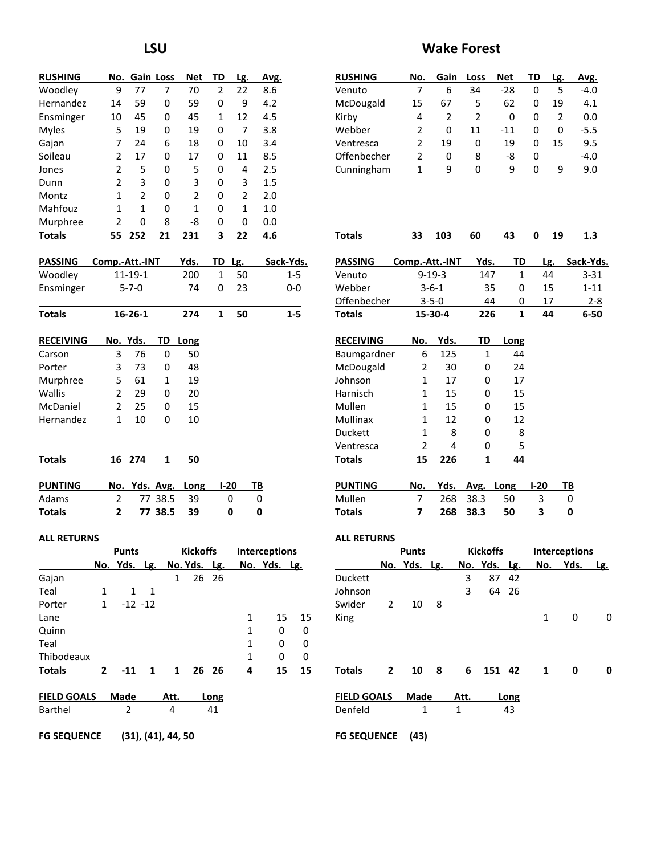| <b>RUSHING</b>     | No.            |                    | <b>Gain Loss</b> | <b>Net</b>                | TD           | Lg.            | Avg.                 |                | <b>RUSHING</b>     | No.                     | Gain                    | Loss            | <b>Net</b>     | TD                      | Lg.            | Avg.                 |          |
|--------------------|----------------|--------------------|------------------|---------------------------|--------------|----------------|----------------------|----------------|--------------------|-------------------------|-------------------------|-----------------|----------------|-------------------------|----------------|----------------------|----------|
| Woodley            | 9              | 77                 | 7                | 70                        | 2            | 22             | 8.6                  |                | Venuto             | $\overline{7}$          | 6                       | 34              | $-28$          | 0                       | 5              | $-4.0$               |          |
| Hernandez          | 14             | 59                 | 0                | 59                        | 0            | 9              | 4.2                  |                | McDougald          | 15                      | 67                      | 5               | 62             | 0                       | 19             | 4.1                  |          |
| Ensminger          | 10             | 45                 | 0                | 45                        | 1            | 12             | 4.5                  |                | Kirby              | 4                       | 2                       | $\overline{2}$  | 0              | 0                       | $\overline{2}$ | 0.0                  |          |
| <b>Myles</b>       | 5              | 19                 | 0                | 19                        | 0            | 7              | 3.8                  |                | Webber             | 2                       | 0                       | 11              | $-11$          | 0                       | 0              | $-5.5$               |          |
| Gajan              | 7              | 24                 | 6                | 18                        | 0            | 10             | 3.4                  |                | Ventresca          | $\overline{2}$          | 19                      | 0               | 19             | 0                       | 15             |                      | 9.5      |
| Soileau            | 2              | 17                 | 0                | 17                        | 0            | 11             | 8.5                  |                | Offenbecher        | $\overline{2}$          | 0                       | 8               | -8             | 0                       |                | $-4.0$               |          |
| Jones              | 2              | 5                  | 0                | 5                         | 0            | 4              | 2.5                  |                | Cunningham         | $\mathbf{1}$            | 9                       | 0               | 9              | 0                       | 9              |                      | 9.0      |
| Dunn               | 2              | 3                  | 0                | 3                         | 0            | 3              | 1.5                  |                |                    |                         |                         |                 |                |                         |                |                      |          |
| Montz              | 1              | $\overline{2}$     | 0                | $\overline{2}$            | 0            | $\overline{2}$ | 2.0                  |                |                    |                         |                         |                 |                |                         |                |                      |          |
| Mahfouz            | 1              | 1                  | 0                | $\mathbf{1}$              | 0            | 1              | 1.0                  |                |                    |                         |                         |                 |                |                         |                |                      |          |
| Murphree           | 2              | 0                  | 8                | -8                        | 0            | 0              | 0.0                  |                |                    |                         |                         |                 |                |                         |                |                      |          |
| <b>Totals</b>      |                | 55 252             | 21               | 231                       | 3            | 22             | 4.6                  |                | <b>Totals</b>      | 33                      | 103                     | 60              | 43             | 0                       | 19             |                      | 1.3      |
|                    |                |                    |                  |                           |              |                |                      |                |                    |                         |                         |                 |                |                         |                |                      |          |
| <b>PASSING</b>     |                | Comp.-Att.-INT     |                  | Yds.                      | TD           | Lg.            |                      | Sack-Yds.      | <b>PASSING</b>     | Comp.-Att.-INT          |                         | Yds.            | TD             | Lg.                     |                | Sack-Yds.            |          |
| Woodley            |                | $11 - 19 - 1$      |                  | 200                       | 1            | 50             |                      | $1 - 5$        | Venuto             |                         | $9 - 19 - 3$            | 147             | $\mathbf{1}$   | 44                      |                |                      | $3 - 31$ |
| Ensminger          |                | $5 - 7 - 0$        |                  | 74                        | 0            | 23             |                      | $0-0$          | Webber             |                         | $3 - 6 - 1$             | 35              | 0              | 15                      |                |                      | $1 - 11$ |
|                    |                |                    |                  |                           |              |                |                      |                | Offenbecher        |                         | $3 - 5 - 0$             | 44              | 0              | 17                      |                |                      | $2 - 8$  |
| <b>Totals</b>      |                | $16 - 26 - 1$      |                  | 274                       | $\mathbf{1}$ | 50             |                      | $1 - 5$        | <b>Totals</b>      |                         | 15-30-4                 | 226             | $\mathbf{1}$   | 44                      |                |                      | $6 - 50$ |
| <b>RECEIVING</b>   |                | No. Yds.           |                  | TD_Long                   |              |                |                      |                | <b>RECEIVING</b>   | No.                     | Yds.                    | TD              | Long           |                         |                |                      |          |
| Carson             | 3              | 76                 | $\pmb{0}$        | 50                        |              |                |                      |                | Baumgardner        | 6                       | 125                     | 1               | 44             |                         |                |                      |          |
| Porter             | 3              | 73                 | 0                | 48                        |              |                |                      |                | McDougald          | 2                       | 30                      | 0               | 24             |                         |                |                      |          |
| Murphree           | 5              | 61                 | 1                | 19                        |              |                |                      |                | Johnson            | 1                       | 17                      | 0               | 17             |                         |                |                      |          |
| Wallis             | 2              | 29                 | 0                | 20                        |              |                |                      |                | Harnisch           | 1                       | 15                      | 0               | 15             |                         |                |                      |          |
| McDaniel           | 2              | 25                 | 0                | 15                        |              |                |                      |                | Mullen             | 1                       | 15                      | 0               | 15             |                         |                |                      |          |
| Hernandez          | 1              | 10                 | 0                | $10\,$                    |              |                |                      |                | Mullinax           | 1                       | 12                      | 0               | 12             |                         |                |                      |          |
|                    |                |                    |                  |                           |              |                |                      |                | Duckett            | 1                       | 8                       | 0               | 8              |                         |                |                      |          |
|                    |                |                    |                  |                           |              |                |                      |                | Ventresca          | 2                       | 4                       | 0               | $\overline{5}$ |                         |                |                      |          |
| <b>Totals</b>      |                | 16 274             | 1                | 50                        |              |                |                      |                | <b>Totals</b>      | 15                      | 226                     | $\mathbf{1}$    | 44             |                         |                |                      |          |
| <b>PUNTING</b>     |                | No. Yds. Avg.      |                  | Long                      |              | $I-20$         | <u>ТВ</u>            |                | <b>PUNTING</b>     | No.                     | Yds.                    | Avg. Long       |                | $I-20$                  | <u>ТВ</u>      |                      |          |
| Adams              | $\overline{2}$ |                    | 77 38.5          | 39                        |              | 0              | $\overline{0}$       |                | Mullen             | 7                       | 268                     | 38.3            | 50             | $\overline{3}$          |                | $\overline{0}$       |          |
| <b>Totals</b>      | $\mathbf{2}$   |                    | 77 38.5          | 39                        |              | 0              | $\mathbf 0$          |                | <b>Totals</b>      | $\overline{\mathbf{z}}$ | 268                     | 38.3            | 50             | $\overline{\mathbf{3}}$ |                | $\mathbf 0$          |          |
|                    |                |                    |                  |                           |              |                |                      |                |                    |                         |                         |                 |                |                         |                |                      |          |
| <b>ALL RETURNS</b> |                |                    |                  |                           |              |                |                      |                | <b>ALL RETURNS</b> |                         |                         |                 |                |                         |                |                      |          |
|                    |                | Punts              |                  | <b>Kickoffs</b>           |              |                | <b>Interceptions</b> |                |                    | Punts                   |                         | <b>Kickoffs</b> |                |                         |                | <b>Interceptions</b> |          |
|                    |                |                    |                  | No. Yds. Lg. No. Yds. Lg. |              |                | No. Yds. Lg.         |                |                    | No. Yds. Lg.            |                         | No. Yds. Lg.    |                |                         |                | No. Yds. Lg.         |          |
| Gajan              |                |                    |                  | $\mathbf{1}$              | 26 26        |                |                      |                | Duckett            |                         |                         | 3               | 87 42          |                         |                |                      |          |
| Teal               | $\mathbf{1}$   | $1 \quad 1$        |                  |                           |              |                |                      |                | Johnson            |                         |                         | 3               | 64 26          |                         |                |                      |          |
| Porter             | $\mathbf{1}$   | $-12 - 12$         |                  |                           |              |                |                      |                | Swider             | 10<br>$\mathbf{2}$      | - 8                     |                 |                |                         |                |                      |          |
| Lane               |                |                    |                  |                           |              | 1              | 15                   | 15             | King               |                         |                         |                 |                | 1                       |                | 0                    | 0        |
| Quinn              |                |                    |                  |                           |              | 1              | 0                    | 0              |                    |                         |                         |                 |                |                         |                |                      |          |
| Teal               |                |                    |                  |                           |              | 1              | 0                    | 0              |                    |                         |                         |                 |                |                         |                |                      |          |
| Thibodeaux         |                |                    |                  |                           |              | 1              | 0                    | $\overline{0}$ |                    |                         |                         |                 |                |                         |                |                      |          |
| <b>Totals</b>      | $2^{\circ}$    | $-11$              | $\mathbf{1}$     | $\mathbf{1}$              | 26 26        | 4              | 15                   | 15             | <b>Totals</b>      | $\overline{2}$<br>10    | $\overline{\mathbf{8}}$ | 6               | 151 42         | $\mathbf{1}$            |                | $\mathbf 0$          | 0        |
| <b>FIELD GOALS</b> |                | Made               | Att.             |                           | Long         |                |                      |                | <b>FIELD GOALS</b> | Made                    |                         | Att.            | Long           |                         |                |                      |          |
| Barthel            |                | $\overline{2}$     | 4                |                           | 41           |                |                      |                | Denfeld            | 1                       | $\mathbf{1}$            |                 | 43             |                         |                |                      |          |
| <b>FG SEQUENCE</b> |                | (31), (41), 44, 50 |                  |                           |              |                |                      |                | FG SEQUENCE (43)   |                         |                         |                 |                |                         |                |                      |          |

### **LSU Wake Forest**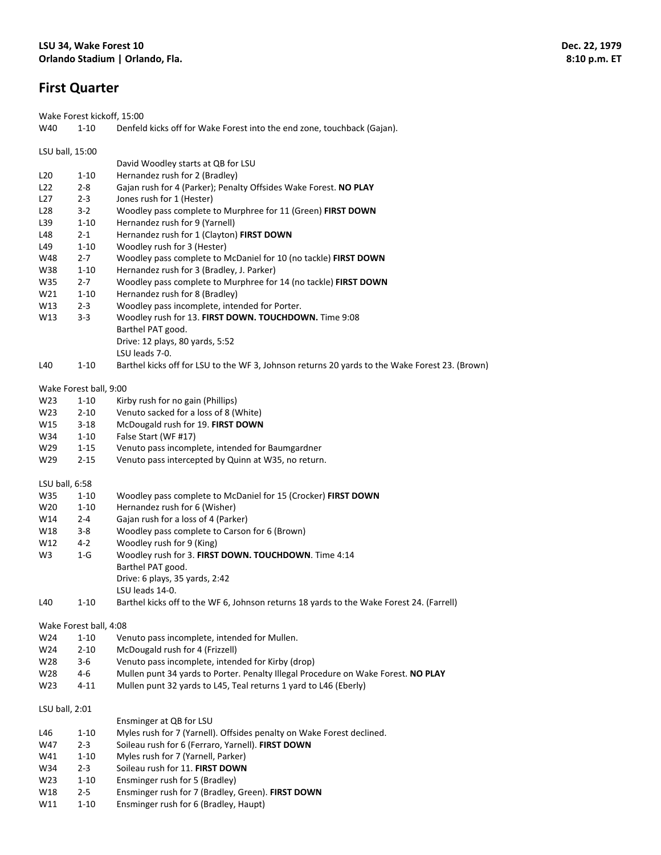## **First Quarter**

Wake Forest kickoff, 15:00

| W40             | $1 - 10$               | Denfeld kicks off for Wake Forest into the end zone, touchback (Gajan).                        |
|-----------------|------------------------|------------------------------------------------------------------------------------------------|
|                 | LSU ball, 15:00        |                                                                                                |
|                 |                        | David Woodley starts at QB for LSU                                                             |
| L <sub>20</sub> | $1 - 10$               | Hernandez rush for 2 (Bradley)                                                                 |
| L22             | $2 - 8$                | Gajan rush for 4 (Parker); Penalty Offsides Wake Forest. NO PLAY                               |
| L27             | $2 - 3$                | Jones rush for 1 (Hester)                                                                      |
| L <sub>28</sub> | $3 - 2$                | Woodley pass complete to Murphree for 11 (Green) FIRST DOWN                                    |
| L <sub>39</sub> | $1 - 10$               | Hernandez rush for 9 (Yarnell)                                                                 |
| L48             | $2 - 1$                | Hernandez rush for 1 (Clayton) FIRST DOWN                                                      |
| L49             | $1 - 10$               | Woodley rush for 3 (Hester)                                                                    |
| W48             | $2 - 7$                | Woodley pass complete to McDaniel for 10 (no tackle) FIRST DOWN                                |
| W38             | $1 - 10$               | Hernandez rush for 3 (Bradley, J. Parker)                                                      |
| W35             | $2 - 7$                | Woodley pass complete to Murphree for 14 (no tackle) FIRST DOWN                                |
| W21             | $1 - 10$               | Hernandez rush for 8 (Bradley)                                                                 |
| W13             | $2 - 3$                | Woodley pass incomplete, intended for Porter.                                                  |
| W13             | $3 - 3$                | Woodley rush for 13. FIRST DOWN. TOUCHDOWN. Time 9:08                                          |
|                 |                        | Barthel PAT good.                                                                              |
|                 |                        | Drive: 12 plays, 80 yards, 5:52                                                                |
|                 |                        | LSU leads 7-0.                                                                                 |
| L40             | $1 - 10$               | Barthel kicks off for LSU to the WF 3, Johnson returns 20 yards to the Wake Forest 23. (Brown) |
|                 | Wake Forest ball, 9:00 |                                                                                                |
| W23             | $1 - 10$               | Kirby rush for no gain (Phillips)                                                              |
| W <sub>23</sub> | $2 - 10$               | Venuto sacked for a loss of 8 (White)                                                          |
| W15             | $3 - 18$               | McDougald rush for 19. FIRST DOWN                                                              |
| W34             | $1 - 10$               | False Start (WF #17)                                                                           |
| W29             | $1 - 15$               | Venuto pass incomplete, intended for Baumgardner                                               |
| W29             | $2 - 15$               | Venuto pass intercepted by Quinn at W35, no return.                                            |
| LSU ball, 6:58  |                        |                                                                                                |
| W35             | $1 - 10$               | Woodley pass complete to McDaniel for 15 (Crocker) FIRST DOWN                                  |
| W <sub>20</sub> | $1 - 10$               | Hernandez rush for 6 (Wisher)                                                                  |
| W14             | $2 - 4$                | Gajan rush for a loss of 4 (Parker)                                                            |
| W18             | $3 - 8$                | Woodley pass complete to Carson for 6 (Brown)                                                  |
| W12             | $4 - 2$                | Woodley rush for 9 (King)                                                                      |
| W <sub>3</sub>  | $1-G$                  | Woodley rush for 3. FIRST DOWN. TOUCHDOWN. Time 4:14                                           |
|                 |                        | Barthel PAT good.                                                                              |
|                 |                        | Drive: 6 plays, 35 yards, 2:42                                                                 |
|                 |                        | LSU leads 14-0.                                                                                |
| L40             | $1 - 10$               | Barthel kicks off to the WF 6, Johnson returns 18 yards to the Wake Forest 24. (Farrell)       |

Wake Forest ball, 4:08

W24 1-10 Venuto pass incomplete, intended for Mullen.

W24 2-10 McDougald rush for 4 (Frizzell)

- W28 3-6 Venuto pass incomplete, intended for Kirby (drop)<br>W28 4-6 Mullen punt 34 vards to Porter. Penalty Illegal Proc
- W28 4‐6 Mullen punt 34 yards to Porter. Penalty Illegal Procedure on Wake Forest. **NO PLAY**
- W23 4-11 Mullen punt 32 yards to L45, Teal returns 1 yard to L46 (Eberly)

LSU ball, 2:01

- Ensminger at QB for LSU L46 1-10 Myles rush for 7 (Yarnell). Offsides penalty on Wake Forest declined. W47 2‐3 Soileau rush for 6 (Ferraro, Yarnell). **FIRST DOWN** W41 1-10 Myles rush for 7 (Yarnell, Parker) W34 2‐3 Soileau rush for 11. **FIRST DOWN** W23 1-10 Ensminger rush for 5 (Bradley) W18 2‐5 Ensminger rush for 7 (Bradley, Green). **FIRST DOWN**
- W11 1-10 Ensminger rush for 6 (Bradley, Haupt)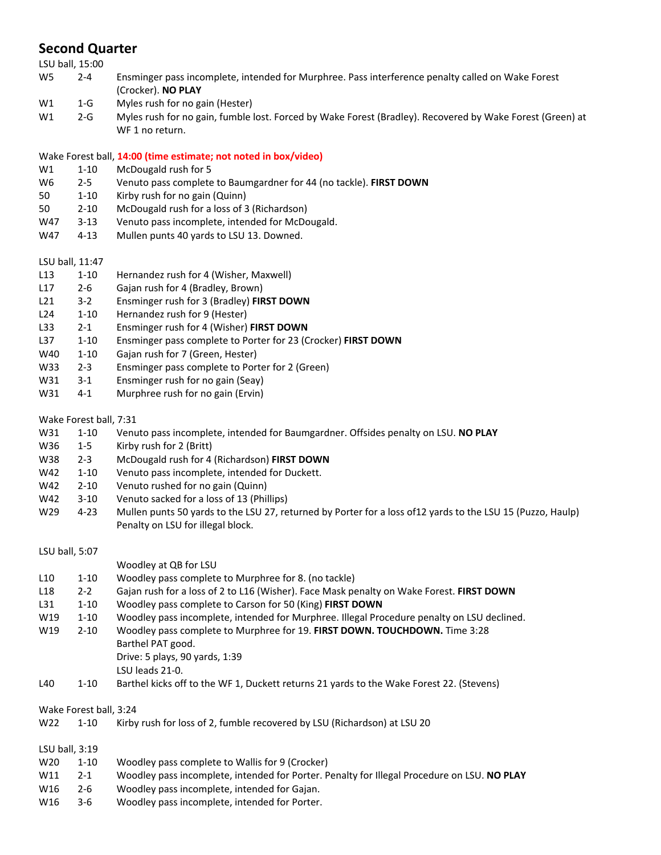## **Second Quarter**

|                | LSU ball, 15:00        |                                                                                                                         |
|----------------|------------------------|-------------------------------------------------------------------------------------------------------------------------|
| W <sub>5</sub> | $2 - 4$                | Ensminger pass incomplete, intended for Murphree. Pass interference penalty called on Wake Forest<br>(Crocker). NO PLAY |
| W1             | $1-G$                  | Myles rush for no gain (Hester)                                                                                         |
| W1             | $2-G$                  | Myles rush for no gain, fumble lost. Forced by Wake Forest (Bradley). Recovered by Wake Forest (Green) at               |
|                |                        | WF 1 no return.                                                                                                         |
|                |                        | Wake Forest ball, 14:00 (time estimate; not noted in box/video)                                                         |
| W1             | $1 - 10$               | McDougald rush for 5                                                                                                    |
| W6             | $2 - 5$                | Venuto pass complete to Baumgardner for 44 (no tackle). FIRST DOWN                                                      |
| 50             | $1 - 10$               | Kirby rush for no gain (Quinn)                                                                                          |
| 50             | $2 - 10$               | McDougald rush for a loss of 3 (Richardson)                                                                             |
| W47            | $3 - 13$               | Venuto pass incomplete, intended for McDougald.                                                                         |
| W47            | $4 - 13$               | Mullen punts 40 yards to LSU 13. Downed.                                                                                |
|                | LSU ball, 11:47        |                                                                                                                         |
| L13            | $1 - 10$               | Hernandez rush for 4 (Wisher, Maxwell)                                                                                  |
| L17            | $2 - 6$                | Gajan rush for 4 (Bradley, Brown)                                                                                       |
| L21            | $3 - 2$                | Ensminger rush for 3 (Bradley) FIRST DOWN                                                                               |
| L24            | $1 - 10$               | Hernandez rush for 9 (Hester)                                                                                           |
| L33            | $2 - 1$                | Ensminger rush for 4 (Wisher) FIRST DOWN                                                                                |
| L37            | $1 - 10$               | Ensminger pass complete to Porter for 23 (Crocker) FIRST DOWN                                                           |
| W40            | $1 - 10$               | Gajan rush for 7 (Green, Hester)                                                                                        |
| W33            | $2 - 3$                | Ensminger pass complete to Porter for 2 (Green)                                                                         |
| W31            | $3 - 1$                | Ensminger rush for no gain (Seay)                                                                                       |
| W31            | $4 - 1$                | Murphree rush for no gain (Ervin)                                                                                       |
|                | Wake Forest ball, 7:31 |                                                                                                                         |
| W31            | $1 - 10$               | Venuto pass incomplete, intended for Baumgardner. Offsides penalty on LSU. NO PLAY                                      |
| W36            | $1 - 5$                | Kirby rush for 2 (Britt)                                                                                                |
| W38            | $2 - 3$                | McDougald rush for 4 (Richardson) FIRST DOWN                                                                            |
| W42            | $1 - 10$               | Venuto pass incomplete, intended for Duckett.                                                                           |
| W42            | $2 - 10$               | Venuto rushed for no gain (Quinn)                                                                                       |
| W42            | $3 - 10$               | Venuto sacked for a loss of 13 (Phillips)                                                                               |
| W29            | $4 - 23$               | Mullen punts 50 yards to the LSU 27, returned by Porter for a loss of 12 yards to the LSU 15 (Puzzo, Haulp)             |
|                |                        | Penalty on LSU for illegal block.                                                                                       |
|                | LSU ball, 5:07         |                                                                                                                         |
|                |                        | Woodley at QB for LSU                                                                                                   |
| L10            | $1 - 10$               | Woodley pass complete to Murphree for 8. (no tackle)                                                                    |
| L18            | $2 - 2$                | Gajan rush for a loss of 2 to L16 (Wisher). Face Mask penalty on Wake Forest. FIRST DOWN                                |
| L31            | $1 - 10$               | Woodley pass complete to Carson for 50 (King) FIRST DOWN                                                                |
| W19            | $1 - 10$               | Woodley pass incomplete, intended for Murphree. Illegal Procedure penalty on LSU declined.                              |
| W19            | $2 - 10$               | Woodley pass complete to Murphree for 19. FIRST DOWN. TOUCHDOWN. Time 3:28                                              |
|                |                        | Barthel PAT good.                                                                                                       |
|                |                        | Drive: 5 plays, 90 yards, 1:39                                                                                          |
|                |                        | LSU leads 21-0.                                                                                                         |
| L40            | $1 - 10$               | Barthel kicks off to the WF 1, Duckett returns 21 yards to the Wake Forest 22. (Stevens)                                |
|                | Wake Forest ball, 3:24 |                                                                                                                         |
| W22            | $1 - 10$               | Kirby rush for loss of 2, fumble recovered by LSU (Richardson) at LSU 20                                                |
|                | LSU ball, 3:19         |                                                                                                                         |
| W20            | $1 - 10$               | Woodley pass complete to Wallis for 9 (Crocker)                                                                         |
| W11            | $2 - 1$                | Woodley pass incomplete, intended for Porter. Penalty for Illegal Procedure on LSU. NO PLAY                             |
| W16            | $2 - 6$                | Woodley pass incomplete, intended for Gajan.                                                                            |
| W16            | $3 - 6$                | Woodley pass incomplete, intended for Porter.                                                                           |
|                |                        |                                                                                                                         |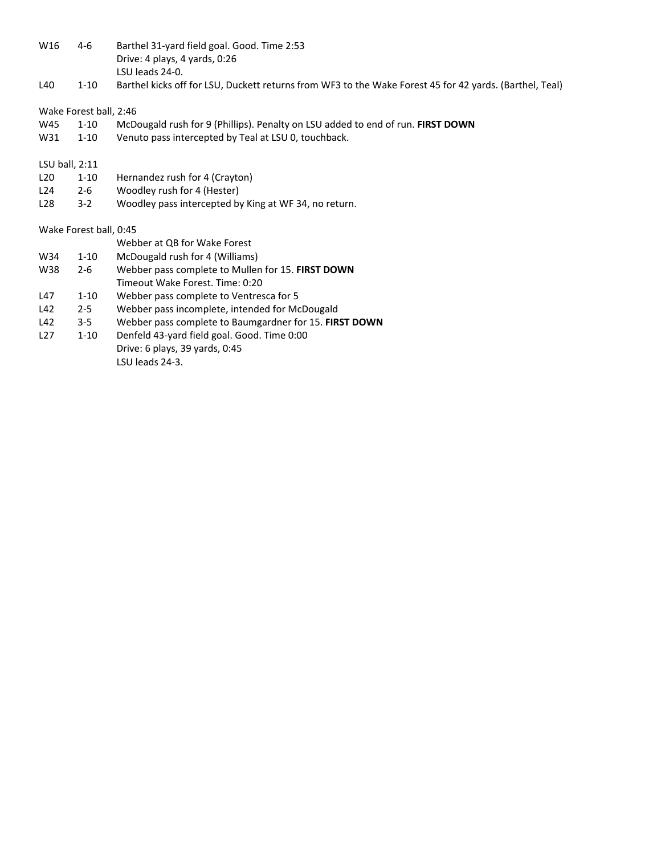| W16              | $4-6$                  | Barthel 31-yard field goal. Good. Time 2:53<br>Drive: 4 plays, 4 yards, 0:26<br>LSU leads 24-0.         |
|------------------|------------------------|---------------------------------------------------------------------------------------------------------|
| L40              | $1 - 10$               | Barthel kicks off for LSU, Duckett returns from WF3 to the Wake Forest 45 for 42 yards. (Barthel, Teal) |
|                  | Wake Forest ball, 2:46 |                                                                                                         |
| W45              | $1 - 10$               | McDougald rush for 9 (Phillips). Penalty on LSU added to end of run. FIRST DOWN                         |
| W31              | $1 - 10$               | Venuto pass intercepted by Teal at LSU 0, touchback.                                                    |
| LSU ball, $2:11$ |                        |                                                                                                         |
| L20              | $1 - 10$               | Hernandez rush for 4 (Crayton)                                                                          |
| L24              | $2 - 6$                | Woodley rush for 4 (Hester)                                                                             |
| L <sub>28</sub>  | $3 - 2$                | Woodley pass intercepted by King at WF 34, no return.                                                   |
|                  | Wake Forest ball, 0:45 |                                                                                                         |
|                  |                        | Webber at QB for Wake Forest                                                                            |
| W34              | $1 - 10$               | McDougald rush for 4 (Williams)                                                                         |
| W38              | $2 - 6$                | Webber pass complete to Mullen for 15. FIRST DOWN                                                       |
|                  |                        | Timeout Wake Forest, Time: 0:20                                                                         |
| L47              | $1 - 10$               | Webber pass complete to Ventresca for 5                                                                 |
| L42              | $2 - 5$                | Webber pass incomplete, intended for McDougald                                                          |
| L42              | $3 - 5$                | Webber pass complete to Baumgardner for 15. FIRST DOWN                                                  |
| L <sub>27</sub>  | $1 - 10$               | Denfeld 43-yard field goal. Good. Time 0:00                                                             |
|                  |                        | Drive: 6 plays, 39 yards, 0:45                                                                          |
|                  |                        | LSU leads 24-3.                                                                                         |
|                  |                        |                                                                                                         |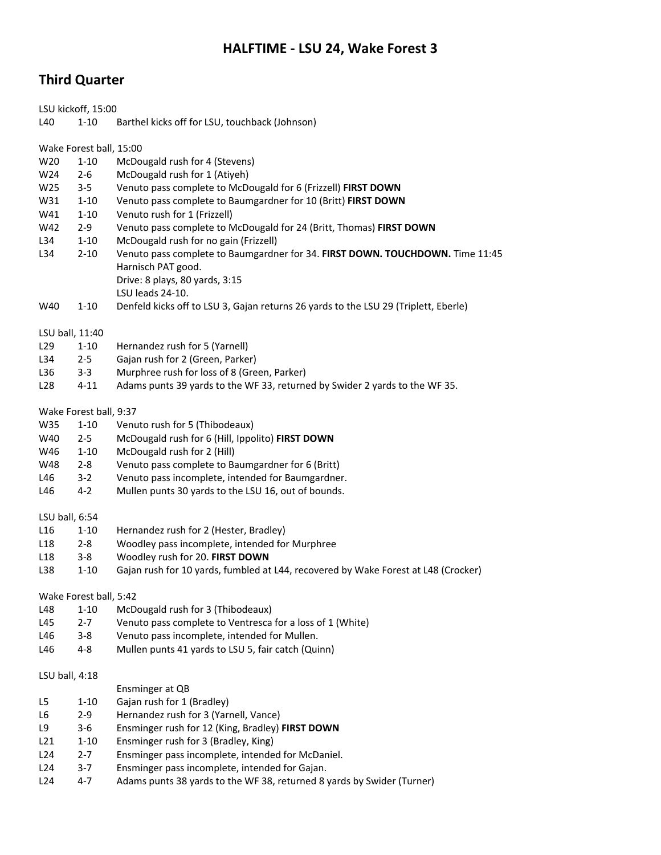## **HALFTIME ‐ LSU 24, Wake Forest 3**

## **Third Quarter**

LSU kickoff, 15:00 L40 1-10 Barthel kicks off for LSU, touchback (Johnson) Wake Forest ball, 15:00 W20 1-10 McDougald rush for 4 (Stevens) W24 2-6 McDougald rush for 1 (Atiyeh) W25 3‐5 Venuto pass complete to McDougald for 6 (Frizzell) **FIRST DOWN** W31 1‐10 Venuto pass complete to Baumgardner for 10 (Britt) **FIRST DOWN** W41 1-10 Venuto rush for 1 (Frizzell) W42 2‐9 Venuto pass complete to McDougald for 24 (Britt, Thomas) **FIRST DOWN** L34 1-10 McDougald rush for no gain (Frizzell) L34 2‐10 Venuto pass complete to Baumgardner for 34. **FIRST DOWN. TOUCHDOWN.** Time 11:45 Harnisch PAT good. Drive: 8 plays, 80 yards, 3:15 LSU leads 24‐10. W40 1-10 Denfeld kicks off to LSU 3, Gajan returns 26 yards to the LSU 29 (Triplett, Eberle) LSU ball, 11:40 L29 1-10 Hernandez rush for 5 (Yarnell) L34 2‐5 Gajan rush for 2 (Green, Parker) L36 3-3 Murphree rush for loss of 8 (Green, Parker) L28 4-11 Adams punts 39 yards to the WF 33, returned by Swider 2 yards to the WF 35. Wake Forest ball, 9:37 W35 1-10 Venuto rush for 5 (Thibodeaux) W40 2‐5 McDougald rush for 6 (Hill, Ippolito) **FIRST DOWN** W46 1-10 McDougald rush for 2 (Hill) W48 2-8 Venuto pass complete to Baumgardner for 6 (Britt) L46 3-2 Venuto pass incomplete, intended for Baumgardner. L46 4-2 Mullen punts 30 yards to the LSU 16, out of bounds. LSU ball, 6:54 L16 1-10 Hernandez rush for 2 (Hester, Bradley) L18 2‐8 Woodley pass incomplete, intended for Murphree L18 3‐8 Woodley rush for 20. **FIRST DOWN** L38 1-10 Gajan rush for 10 yards, fumbled at L44, recovered by Wake Forest at L48 (Crocker) Wake Forest ball, 5:42 L48 1-10 McDougald rush for 3 (Thibodeaux) L45 2-7 Venuto pass complete to Ventresca for a loss of 1 (White) L46 3-8 Venuto pass incomplete, intended for Mullen. L46 4‐8 Mullen punts 41 yards to LSU 5, fair catch (Quinn) LSU ball, 4:18 Ensminger at QB L5 1-10 Gajan rush for 1 (Bradley) L6 2‐9 Hernandez rush for 3 (Yarnell, Vance) L9 3‐6 Ensminger rush for 12 (King, Bradley) **FIRST DOWN** L21 1-10 Ensminger rush for 3 (Bradley, King) L24 2-7 Ensminger pass incomplete, intended for McDaniel. L24 3-7 Ensminger pass incomplete, intended for Gajan. L24 4-7 Adams punts 38 yards to the WF 38, returned 8 yards by Swider (Turner)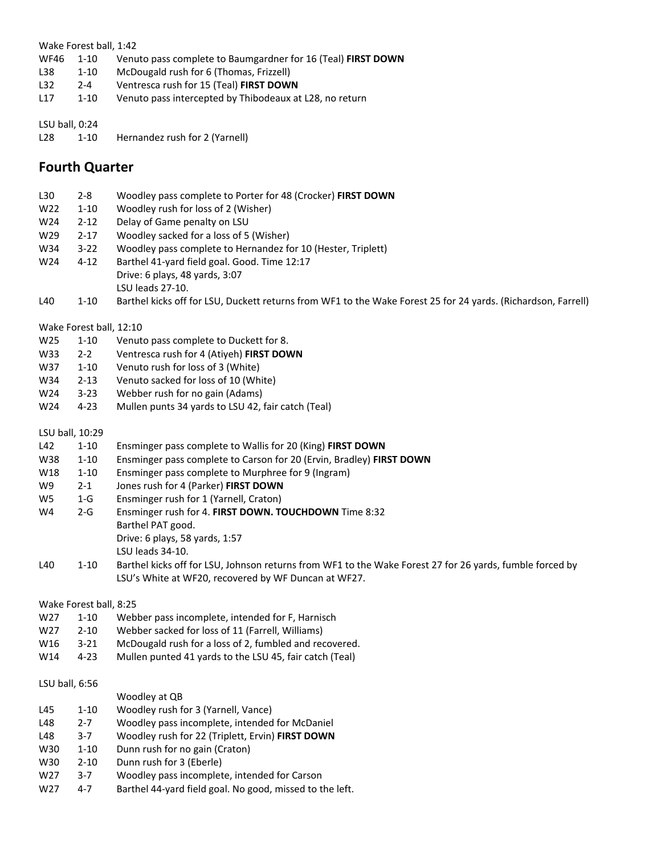#### Wake Forest ball, 1:42

- WF46 1‐10 Venuto pass complete to Baumgardner for 16 (Teal) **FIRST DOWN**
- L38 1-10 McDougald rush for 6 (Thomas, Frizzell)<br>L32 2-4 Ventresca rush for 15 (Teal) FIRST DOWI
- L32 2‐4 Ventresca rush for 15 (Teal) **FIRST DOWN**
- L17 1-10 Venuto pass intercepted by Thibodeaux at L28, no return

### LSU ball, 0:24

L28 1-10 Hernandez rush for 2 (Yarnell)

## **Fourth Quarter**

| L30             | $2 - 8$                 | Woodley pass complete to Porter for 48 (Crocker) FIRST DOWN                                                                                                      |
|-----------------|-------------------------|------------------------------------------------------------------------------------------------------------------------------------------------------------------|
| W22             | $1 - 10$                | Woodley rush for loss of 2 (Wisher)                                                                                                                              |
| W24             | $2 - 12$                | Delay of Game penalty on LSU                                                                                                                                     |
| W29             | $2 - 17$                | Woodley sacked for a loss of 5 (Wisher)                                                                                                                          |
| W34             | $3 - 22$                | Woodley pass complete to Hernandez for 10 (Hester, Triplett)                                                                                                     |
| W24             | $4 - 12$                | Barthel 41-yard field goal. Good. Time 12:17                                                                                                                     |
|                 |                         | Drive: 6 plays, 48 yards, 3:07                                                                                                                                   |
|                 |                         | LSU leads 27-10.                                                                                                                                                 |
| L40             | $1 - 10$                | Barthel kicks off for LSU, Duckett returns from WF1 to the Wake Forest 25 for 24 yards. (Richardson, Farrell)                                                    |
|                 | Wake Forest ball, 12:10 |                                                                                                                                                                  |
| W25             | $1 - 10$                | Venuto pass complete to Duckett for 8.                                                                                                                           |
| W33             | $2 - 2$                 | Ventresca rush for 4 (Atiyeh) FIRST DOWN                                                                                                                         |
| W37             | $1 - 10$                | Venuto rush for loss of 3 (White)                                                                                                                                |
| W34             | $2 - 13$                | Venuto sacked for loss of 10 (White)                                                                                                                             |
| W24             | $3 - 23$                | Webber rush for no gain (Adams)                                                                                                                                  |
| W24             | $4 - 23$                | Mullen punts 34 yards to LSU 42, fair catch (Teal)                                                                                                               |
| LSU ball, 10:29 |                         |                                                                                                                                                                  |
| L42             | $1 - 10$                | Ensminger pass complete to Wallis for 20 (King) FIRST DOWN                                                                                                       |
| W38             | $1 - 10$                | Ensminger pass complete to Carson for 20 (Ervin, Bradley) FIRST DOWN                                                                                             |
| W18             | $1 - 10$                | Ensminger pass complete to Murphree for 9 (Ingram)                                                                                                               |
| W9              | $2 - 1$                 | Jones rush for 4 (Parker) FIRST DOWN                                                                                                                             |
| W5              | $1-G$                   | Ensminger rush for 1 (Yarnell, Craton)                                                                                                                           |
| W4              | $2-G$                   | Ensminger rush for 4. FIRST DOWN. TOUCHDOWN Time 8:32                                                                                                            |
|                 |                         | Barthel PAT good.                                                                                                                                                |
|                 |                         | Drive: 6 plays, 58 yards, 1:57                                                                                                                                   |
|                 |                         | LSU leads 34-10.                                                                                                                                                 |
| L40             | $1 - 10$                | Barthel kicks off for LSU, Johnson returns from WF1 to the Wake Forest 27 for 26 yards, fumble forced by<br>LSU's White at WF20, recovered by WF Duncan at WF27. |
|                 | Wake Forest ball, 8:25  |                                                                                                                                                                  |
| W27             | $1 - 10$                | Webber pass incomplete, intended for F, Harnisch                                                                                                                 |
| W27             | $2 - 10$                | Webber sacked for loss of 11 (Farrell, Williams)                                                                                                                 |
| W16             | $3 - 21$                | McDougald rush for a loss of 2, fumbled and recovered.                                                                                                           |
| W14             | $4 - 23$                | Mullen punted 41 yards to the LSU 45, fair catch (Teal)                                                                                                          |
| LSU ball, 6:56  |                         |                                                                                                                                                                  |
|                 |                         | Woodley at QB                                                                                                                                                    |
| L45             | $1 - 10$                | Woodley rush for 3 (Yarnell, Vance)                                                                                                                              |
| L48             | $2 - 7$                 | Woodley pass incomplete, intended for McDaniel                                                                                                                   |
| L48             | $3 - 7$                 | Woodley rush for 22 (Triplett, Ervin) FIRST DOWN                                                                                                                 |
| W30             | $1 - 10$                | Dunn rush for no gain (Craton)                                                                                                                                   |
| W30             | $2 - 10$                | Dunn rush for 3 (Eberle)                                                                                                                                         |
| W27             | $3 - 7$                 | Woodley pass incomplete, intended for Carson                                                                                                                     |
| W27             | $4 - 7$                 | Barthel 44-yard field goal. No good, missed to the left.                                                                                                         |
|                 |                         |                                                                                                                                                                  |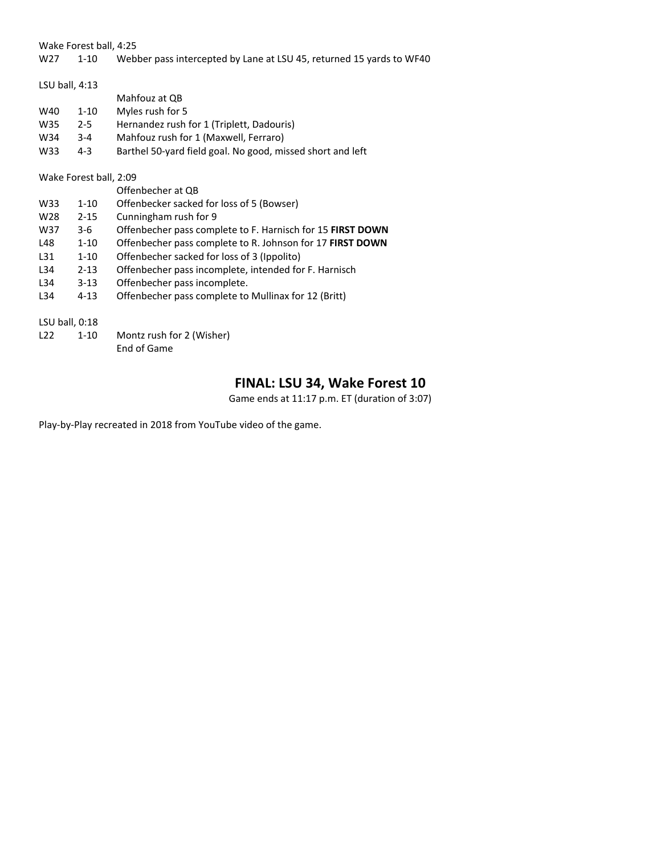Wake Forest ball, 4:25

#### W27 1-10 Webber pass intercepted by Lane at LSU 45, returned 15 yards to WF40

| LSU ball, $4:13$ |                        |                                                                   |  |  |  |  |  |
|------------------|------------------------|-------------------------------------------------------------------|--|--|--|--|--|
|                  |                        | Mahfouz at QB                                                     |  |  |  |  |  |
| W40              | $1 - 10$               | Myles rush for 5                                                  |  |  |  |  |  |
| W35              | $2 - 5$                | Hernandez rush for 1 (Triplett, Dadouris)                         |  |  |  |  |  |
| W34              | $3 - 4$                | Mahfouz rush for 1 (Maxwell, Ferraro)                             |  |  |  |  |  |
| W33              | $4 - 3$                | Barthel 50-yard field goal. No good, missed short and left        |  |  |  |  |  |
|                  | Wake Forest ball, 2:09 |                                                                   |  |  |  |  |  |
|                  |                        | Offenbecher at QB                                                 |  |  |  |  |  |
| W33              | $1 - 10$               | Offenbecker sacked for loss of 5 (Bowser)                         |  |  |  |  |  |
| W <sub>28</sub>  | $2 - 15$               | Cunningham rush for 9                                             |  |  |  |  |  |
| W37              | $3-6$                  | Offenbecher pass complete to F. Harnisch for 15 <b>FIRST DOWN</b> |  |  |  |  |  |
| L48              | $1 - 10$               | Offenbecher pass complete to R. Johnson for 17 FIRST DOWN         |  |  |  |  |  |
| L31              | $1 - 10$               | Offenbecher sacked for loss of 3 (Ippolito)                       |  |  |  |  |  |
| L34              | $2 - 13$               | Offenbecher pass incomplete, intended for F. Harnisch             |  |  |  |  |  |
| L34              | $3 - 13$               | Offenbecher pass incomplete.                                      |  |  |  |  |  |
| L34              | $4 - 13$               | Offenbecher pass complete to Mullinax for 12 (Britt)              |  |  |  |  |  |
| LSU ball, $0:18$ |                        |                                                                   |  |  |  |  |  |
| L22              | $1 - 10$               | Montz rush for 2 (Wisher)<br>End of Game                          |  |  |  |  |  |

## **FINAL: LSU 34, Wake Forest 10**

Game ends at 11:17 p.m. ET (duration of 3:07)

Play‐by‐Play recreated in 2018 from YouTube video of the game.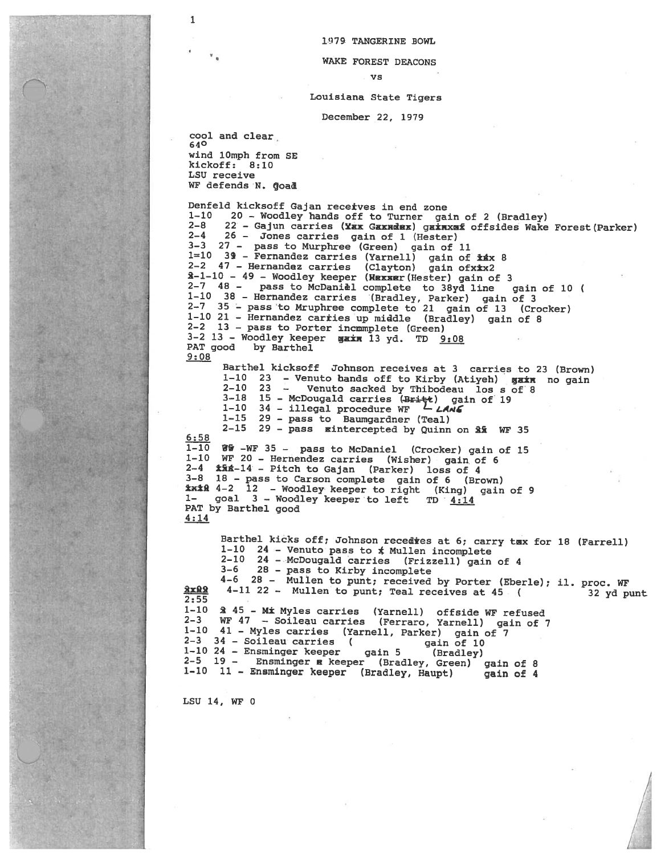1979 TANGERINE BOWL

#### WAKE FOREST DEACONS

 $\mathbf{v}$ s

#### Louisiana State Tigers

December 22, 1979

cool and clear 640 wind 10mph from SE kickoff: 8:10 LSU receive WF defends N. Goad

1

Denfeld kicksoff Gajan recetves in end zone 20 - Woodley hands off to Turner gain of 2 (Bradley)  $1 - 10$  $2 - 8$ 22 - Gajun carries (Yax Gaxndex) gainxaf offsides Wake Forest (Parker)  $2 - 4$ 26 - Jones carries gain of 1 (Hester) 3-3 27 - pass to Murphree (Green) gain of 11 1=10 39 - Fernandez carries (Yarnell) gain of \*\*\* 8<br>2-2 47 - Hernandez carries (Clayton) gain of \*\*\* 2<br>3-1-10 - 49 - Woodley keeper (Wexser (Hester) gain of 3 2-7 48 - pass to McDaniel complete to 38yd line gain of 10 ( 1-10 38 - Hernandez carries (Bradley, Parker) gain of 3<br>2-7 35 - pass to Mruphree complete to 21 gain of 13 (Crocker) 1-10 21 - Hernandez carries up middle (Bradley) gain of 8 2-2 13 - pass to Porter incmmplete (Green) 3-2 13 - Woodley keeper gain 13 yd. TD 9:08 PAT good by Barthel  $9:08$ 

Barthel kicksoff Johnson receives at 3 carries to 23 (Brown) 23 - Venuto bands off to Kirby (Atiyeh) gain no gain  $1 - 10$ 23 - Venuto sacked by Thibodeau los s of 8  $2 - 10$  $3 - 18$  $3-18$  15 - McDougald carries (Britt) gain of 19<br>1-10 34 - illegal procedure WF  $-$  *LANE* 1-15 29 - pass to Baumgardner (Teal) 2-15 29 - pass sintercepted by Quinn on 2% WF 35  $6:58$  $1 - 10$ WW -WF 35 - pass to McDaniel (Crocker) gain of 15 1-10 WF 20 - Hernendez carries (Wisher) gain of 6  $2-4$   $\frac{1}{4}$   $\frac{1}{4}$  - Pitch to Gajan (Parker) loss of 4<br>3-8 18 - pass to Carson complete gain of 6 (Bro 3-8 18 - pass to Carson complete gain of 6 (Brown)<br> **\*\*\*A** 4-2 12 - Woodley keeper to right (King) gain of 9 goal 3 - Woodley keeper to left  $1 TD \t4:14$ PAT by Barthel good

 $4:14$ 

Barthel kicks off; Johnson recedies at 6; carry tax for 18 (Farrell) 1-10 24 - Venuto pass to  $*$  Mullen incomplete 2-10 24 - McDougald carries (Frizzell) gain of 4  $3 - 6$ 28 - pass to Kirby incomplete  $4-6$  28 - Mullen to punt; received by Porter (Eberle); il. proc. WF  $2x22$  $4-11$  22 - Mullen to punt; Teal receives at 45 ( 32 yd punt  $2:55$ 2 45 - Mix Myles carries (Yarnell) offside WF refused<br>WF 47 - Soileau carries (Ferraro, Yarnell) gain of 7  $1 - 10$  $2 - 3$ 1-10 41 - Myles carries (Yarnell, Parker) gain of 7  $2-3$  34 - Soileau carries ( gain of 10 24 - Ensminger keeper<br>19 - Ensminger & keeper (Bradley, Green) gain of 8  $1-10$  24 - Ensminger keeper  $2 - 5$ 1-10 11 - Ensminger keeper (Bradley, Haupt) gain of 4

LSU 14, WF 0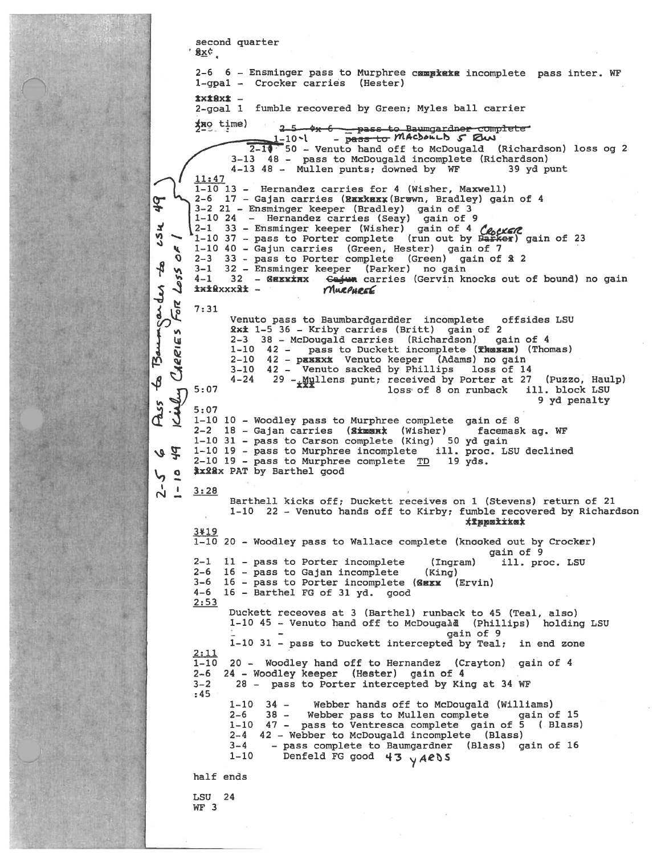```
second quarter
       8xc
        2-6 6 - Ensminger pass to Murphree campiata incomplete pass inter. WF
        1-gpa1 - Crocker carries (Hester)
        txi8xi -
        2-goal 1 fumble recovered by Green; Myles ball carrier
        fno time)
                         25 4x 6 pass to Baumgardner complete<br>1-10 - pass to MACDOLLD 5 RW
                    2 - 1050 - Venuto hand off to McDougald (Richardson) loss og 2
                3-13 48 - pass to McDougald incomplete (Richardson)
                4-13 48 - Mullen punts; downed by WF
                                                                         39 vd punt
        11:471-10 13 - Hernandez carries for 4 (Wisher, Maxwell)
        2-6 17 - Gajan carries (Rxxkexx (Brown, Bradley) gain of 4
\frac{1}{2}2-6 1/ - Gajan carries (MaxKEX (Brown, Bradley) gain of 3<br>3-2 21 - Ensminger keeper (Bradley) gain of 3<br>1-10 24 - Hernandez carries (Seay) gain of 9<br>2-1 33 - Ensminger keeper (Wisher) gain of 4 (eyene)<br>1-10 37 - pass to P
×
57
        2-3 33 - pass to Porter complete (Green) gain of £ 2
    \Omega\frac{8}{3}3-1 32 - Ensminger keeper (Parker) no gain<br>4-1 32 - GEXXXXX Gejun carries (Gervin knocks out of bound) no gain
   255ander
        ixikxxxxx -
                                   MURPHREE
   For
        7:31Venuto pass to Baumbardgardder incomplete
                                                                       offsides LSU
Ø
               2x<sup>2</sup> 1-5 36 - Kriby carries (Britt) gain of 2
    \mathbf{v}Bann
               2-3 38 - McDougald carries (Richardson) gain of 4
    ιų
               1-10 42 - pass to Duckett incomplete (Thesem) (Thomas)
    RRI
               2-10 42 - paxxx Venuto keeper (Adams) no gain<br>3-10 42 - Venuto sacked by Phillips loss of 14
   \check{C}\oint4 - 2429 - \frac{100}{4} 29 - \frac{100}{4} and \frac{100}{4} and \frac{100}{4} are \frac{100}{4} and \frac{100}{4} are \frac{100}{4} and \frac{100}{4} are \frac{100}{4} and \frac{100}{4} are \frac{100}{4} and \frac{100}{4} are \frac{100}{4} and \frac{100(Puzzo, Haulp)
        5:07loss of 8 on runback ill. block LSU
   \overline{\mathcal{L}}9 yd penalty
Pass
        5:071-10 10 - Woodley pass to Murphree complete gain of 8
        2-2 18 - Gajan carries (Simmark (Wisher) facemask ag. WF
        1-10 31 - pass to Carson complete (King) 50 yd gain
        1-10 19 - pass to Murphree incomplete ill. proc. LSU declined
しゅ
        2-10 19 - pass to Murphree complete TD 19 yds.
        #xxxx PAT by Barthel good
\frac{1}{2}\frac{1}{2}3:28Barthell kicks off; Duckett receives on 1 (Stevens) return of 21
               1-10 22 - Venuto hands off to Kirby; fumble recovered by Richardson
                                                                xxppoxxxox
        3#19
        1-10 20 - Woodley pass to Wallace complete (knooked out by Crocker)
                                                                      gain of 9
        2-1 11 - pass to Porter incomplete
                                                         (Ingram)ill. proc. LSU
        2-6 16 - pass to Gajan incomplete
                                                        (King)3 - 616 - pass to Porter incomplete (GEXX (Ervin)
        4 - 616 - Barthel FG of 31 yd. good
        2:53Duckett receoves at 3 (Barthel) runback to 45 (Teal, also)
               1-10 45 - Venuto hand off to McDougald (Phillips) holding LSU
                                                             gain of 9
               1-10 31 - pass to Duckett intercepted by Teal; in end zone
        <u>2:11</u>
        1 - 1020 - Woodley hand off to Hernandez (Crayton) gain of 4
              24 - Woodley keeper (Hester) gain of 4
        2 - 63 - 228 - pass to Porter intercepted by King at 34 WF
        :451 - 10 34 -Webber hands off to McDougald (Williams)
               2-6 38 - Webber pass to Mullen complete gain of 15<br>1-10 47 - pass to Ventresca complete gain of 5 (Blass)
               2-4 42 - Webber to McDougald incomplete (Blass)
                        - pass complete to Baumgardner (Blass) gain of 16<br>Denfeld FC good die 10 minutes
               3 - 4Denfeld FG good 43 y ARDS
               1 - 10half ends
        LSU 24
        WF 3
```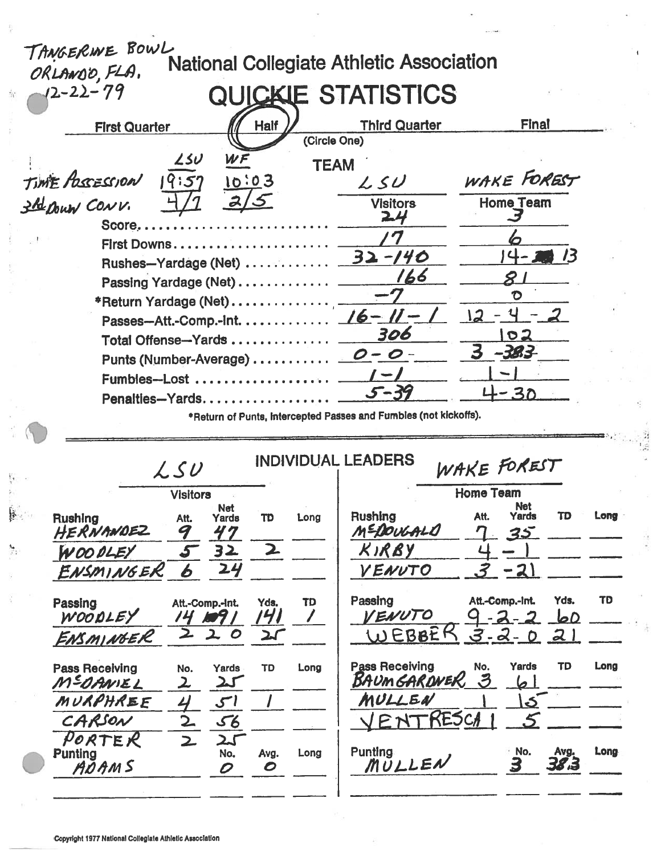|               | TANGERINE BOWL<br>ORLANDO, FLA. |                       |                           |              |                             | <b>National Collegiate Athletic Association</b>                  |                                               |                    |           |
|---------------|---------------------------------|-----------------------|---------------------------|--------------|-----------------------------|------------------------------------------------------------------|-----------------------------------------------|--------------------|-----------|
|               | $-12-22-79$                     |                       |                           |              |                             | QUICKIE STATISTICS                                               |                                               |                    |           |
|               | <b>First Quarter</b>            |                       |                           | <b>Half</b>  |                             | <b>Third Quarter</b>                                             | Final                                         |                    |           |
|               |                                 | 25U                   | WF                        |              | (Circle One)<br><b>TEAM</b> |                                                                  |                                               |                    |           |
|               | TIME POSSESSION                 | 19:57                 |                           | 10:03        |                             | $L$ SU                                                           | WAKE FOREST                                   |                    |           |
|               | 3 Be Down CONV.                 |                       |                           |              |                             | <b>Visitors</b><br>24                                            | <b>Home Team</b>                              |                    |           |
|               | $Score$<br>First Downs          |                       |                           |              |                             |                                                                  |                                               |                    |           |
|               |                                 |                       |                           |              |                             |                                                                  | 4-25                                          |                    |           |
|               |                                 |                       |                           |              |                             | 166                                                              |                                               |                    |           |
|               | *Return Yardage (Net)           |                       |                           |              |                             |                                                                  | D                                             |                    |           |
|               |                                 |                       |                           |              |                             | Passes-Att.-Comp.-Int. 16 - 11 -                                 |                                               |                    |           |
|               | Total Offense-Yards             |                       |                           |              |                             | 306                                                              | 02                                            |                    |           |
|               |                                 |                       |                           |              |                             |                                                                  | 383-                                          |                    |           |
|               | Fumbles-Lost                    |                       |                           |              |                             |                                                                  |                                               |                    |           |
|               | Penalties-Yards                 |                       |                           |              |                             |                                                                  | <b>30</b>                                     |                    |           |
|               |                                 |                       |                           |              |                             | *Return of Punts, Intercepted Passes and Fumbles (not kickoffs). |                                               |                    |           |
|               |                                 | LSU                   |                           |              |                             | <b>INDIVIDUAL LEADERS</b>                                        | WAKE FOREST                                   |                    |           |
|               |                                 | <b>Visitors</b>       |                           |              |                             |                                                                  | <b>Home Team</b>                              |                    |           |
| $\frac{1}{2}$ | <b>Rushing</b><br>HERNANDEZ     | Att.<br>9             | <b>Net</b><br>Yards<br>47 | <b>TD</b>    | Long                        | Rushing<br>MEDOUGALO                                             | <b>Net</b><br>Att.<br>Yards<br>η<br><u>35</u> | <b>TD</b>          | Long      |
| 轨             | WOO OLEY                        |                       | 32                        | $\mathbf{z}$ |                             | KIRBY                                                            |                                               |                    |           |
|               | ENSMINGER                       | 6                     | 24                        |              |                             | VENUTO                                                           | <u>-21</u>                                    |                    |           |
|               | Passing<br>WOODLEY              | Att.-Comp.-Int.<br>74 |                           | Yds.<br>141  | TD                          | Passing<br><b>IENUTO</b>                                         | Att.-Comp.-Int.                               | Yds.<br><u>loD</u> | <b>TD</b> |
|               | ENSMINGER                       | 2                     | ﯩﺪ<br>$\boldsymbol{O}$    | 21           |                             | WEBBEF                                                           | $3 - 2 - 0$                                   | 21                 |           |
|               | <b>Pass Receiving</b>           | No.                   | Yards                     | TD           | Long                        | <b>Pass Receiving</b>                                            | No.<br>Yards                                  | <b>TD</b>          | Long      |

MEDANIEL  $25$  $\mathbf{z}$ MURPHREE کی CARSON  $\frac{56}{25}$  $\overline{2}$ PORTER<br>Punting<br><u>ADAMS</u>  $\overline{\mathbf{z}}$  $\overline{No.}$ Long Avg. 0  $\ddot{\mathcal{O}}$ 

### **BAUMGAROWER 3**  $61$ MULLEN ک ا RESCA 5  $\bigvee$  $PM$ Punting<br>MULLEN  $\frac{10}{3}$  $38.3$ Long

и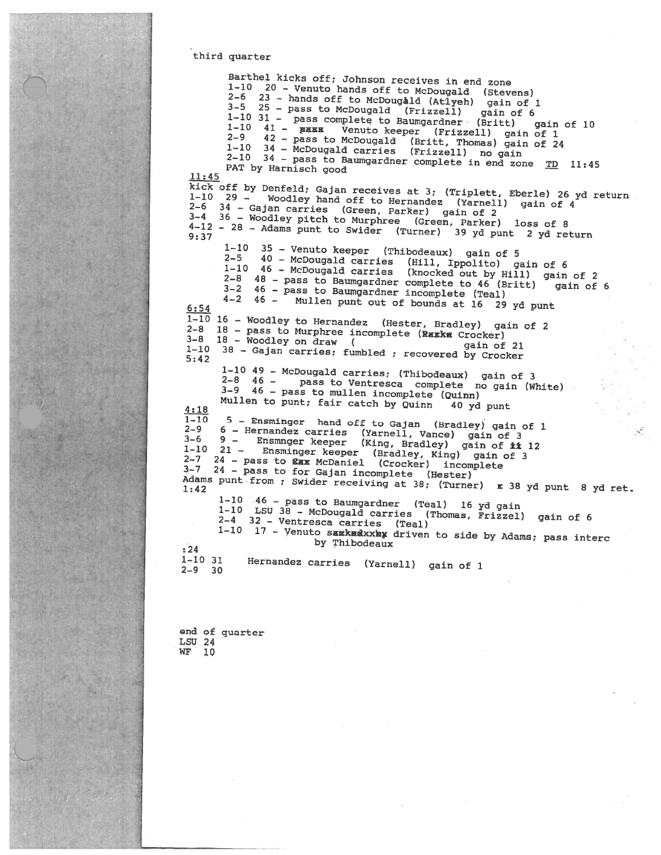#### third quarter

Barthel kicks off; Johnson receives in end zone Bartnei Kicks orr; Jonnson receives in ena zone<br>1-10 20 - Venuto hands off to McDougald (Stevens)<br>2-6 23 - hands off to McDougald (Atlyeh) gain of 1<br>3-5 25 - pass to McDougald (Frizzell) gain of 6<br>1-10 31 - pass complete 1-10 34 - McDougald carries (Frizzell) no gain  $2-10$   $34$  - pass to Baumgardner complete in end zone  $\overline{TD}$  11:45 PAT by Harnisch good  $11:45$ kick off by Denfeld; Gajan receives at 3; (Triplett, Eberle) 26 yd return Woodley hand off to Hernandez (Yarnell) gain of 4 2-6 34 - Gajan carries (Green, Parker) gain of 2<br>3-4 36 - Woodley pitch to Murphree (Green, Parker) loss of 8<br>4-12 - 28 - Adams punt to Swider (Turner) 39 yd punt 2 yd return  $1-10$  35 - Venuto keeper (Thibodeaux) gain of 5 40 - McDougald carries (Hill, Ippolito) gain of 6  $2 - 5$ 1-10 46 - McDougald carries (knocked out by Hill) gain of 2 2-8 48 - pass to Baumgardner complete to 46 (Britt) 3-2 46 - pass to Baumgardner incomplete (Teal) gain of 6 4-2 46 - Mullen punt out of bounds at 16 29 yd punt  $6:54$  $1-10$  16 - Woodley to Hernandez (Hester, Bradley) gain of 2 2-8 18 - pass to Murphree incomplete (Raxkm Crocker)  $3-8$  18 - Woodley on draw  $\sqrt{ }$ gain of 21 1-10 38 - Gajan carries; fumbled; recovered by Crocker  $5:42$ 1-10 49 - McDougald carries; (Thibodeaux) gain of 3  $2 - 8$  46 pass to Ventresca complete no gain (White)  $3-9$  46 - pass to mullen incomplete (Quinn) Mullen to punt; fair catch by Quinn  $40$  yd punt  $4:18$ 5 - Ensminger hand off to Gajan (Bradley) gain of 1  $1 - 10$ 6 - Hernandez carries (Yarnell, Vance) gain of 3  $2 - 9$  $3-6$   $9 -$  Ensmnger keeper (King, Bradley) gain of it 12<br>1-10 21 - Ensminger keeper (Bradley, King) gain of 3<br>21 - Ensminger keeper (Bradley, King) gain of 3 2-7 24 - pass to gax McDaniel (Crocker) incomplete 3-7 24 - pass to for Gajan incomplete (Hester) Adams punt from ; Swider receiving at 38; (Turner) x 38 yd punt 8 yd ret. 1-10 46 - pass to Baumgardner (Teal) 16 yd gain<br>1-10 LSU 38 - McDougald carries (Thomas, Frizzel) gain of 6 2-4 32 - Ventresca carries (Teal) 1-10 17 - Venuto sakkedxxky driven to side by Adams; pass interc by Thibodeaux  $: 24$  $1 - 10$  31 Hernandez carries (Yarnell) gain of 1  $2 - 9$  30

end of quarter **LSU 24** WF 10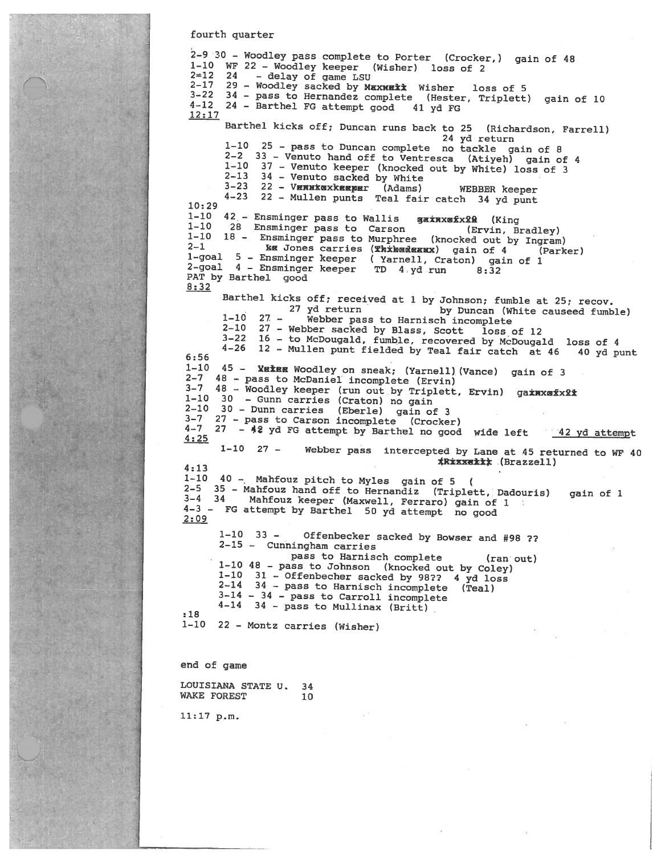fourth quarter

2-9 30 - Woodley pass complete to Porter (Crocker,) gain of 48 1-10 WF 22 - Woodley keeper (Wisher) loss of 2  $2=12$   $24$  - delay of game LSU  $2 - 17$ 29 - Woodley sacked by Maxwait Wisher loss of 5 3-22 34 - pass to Hernandez complete (Hester, Triplett) gain of 10  $4 - 12$ 24 - Barthel FG attempt good 41 yd FG  $12:17$ Barthel kicks off; Duncan runs back to 25 (Richardson, Farrell) 24 yd return 1-10 25 - pass to Duncan complete no tackle gain of 8 2-2 33 - Venuto hand off to Ventresca (Atiyeh) gain of 4 1-10 37 - Venuto keeper (knocked out by White) loss of 3 34 - Venuto sacked by White  $2 - 13$ 3-23 22 - VENNKØXKREBET (Adams) WEBBER keeper<br>4-23 22 - Mullen punts Teal fair catch 34 yd punt  $10:29$ 42 - Ensminger pass to Wallis gainxmfx20 (King<br>28 Ensminger pass to Carson (Ervin, Br  $1 - 10$  $1 - 10$ (Ervin, Bradley) 1-10 18 - Ensminger pass to Murphree (knocked out by Ingram) KE Jones carries (Thibadeaux) gain of 4  $2 - 1$ (Parker) 1-goal 5 - Ensminger keeper (Yarnell, Craton) gain of 1<br>2-goal 4 - Ensminger keeper TD 4 yd run 8:32 PAT by Barthel good  $8:32$ Barthel kicks off; received at 1 by Johnson; fumble at 25; recov. 27 yd return by Duncan (White causeed fumble)  $27 1 - 10$ Webber pass to Harnisch incomplete 27 - Webber sacked by Blass, Scott loss of 12  $2 - 10$ 3-22 16 - to McDougald, fumble, recovered by McDougald loss of 4<br>4-26 12 - Mullen punt fielded by Teal fair catch at 46 40 yd punt  $6:56$ 1-10 45 - XEIEE Woodley on sneak; (Yarnell) (Vance) gain of 3 2-7 48 - pass to McDaniel incomplete (Ervin) 3-7 48 - Woodley keeper (run out by Triplett, Ervin) gaxwxmfx22 1-10 30 - Gunn carries (Craton) no gain 2-10 30 - Dunn carries (Eberle) gain of 3 3-7 27 - pass to Carson incomplete (Crocker) 4-7 27 - 42 yd FG attempt by Barthel no good wide left 42 yd attempt  $4:25$ 1-10 27 - Webber pass intercepted by Lane at 45 returned to WF 40 **\*R\*\*\*\*\*\*\*\* (Brazzell)**  $4:13$ 1-10 40  $-$  Mahfouz pitch to Myles gain of 5 ( 2-5 35 - Mahfouz hand off to Hernandiz (Triplett, Dadouris) gain of 1 3-4 34 Mahfouz keeper (Maxwell, Ferraro) gain of 1 4-3 - FG attempt by Barthel 50 yd attempt no good  $2:09$  $1 - 10$  33  $-$ Offenbecker sacked by Bowser and #98 ?? 2-15 - Cunningham carries pass to Harnisch complete  $(ran$  out) 1-10 48 - pass to Johnson (knocked out by Coley) 1-10 31 - Offenbecher sacked by 98?? 4 yd loss<br>2-14 34 - pass to Harnisch incomplete (Teal)  $3-14 - 34$  - pass to Carroll incomplete  $4-14$  34 - pass to Mullinax (Britt)  $:18$ 1-10 22 - Montz carries (Wisher) end of game LOUISIANA STATE U. 34 WAKE FOREST  $10$ 

 $11:17 p.m.$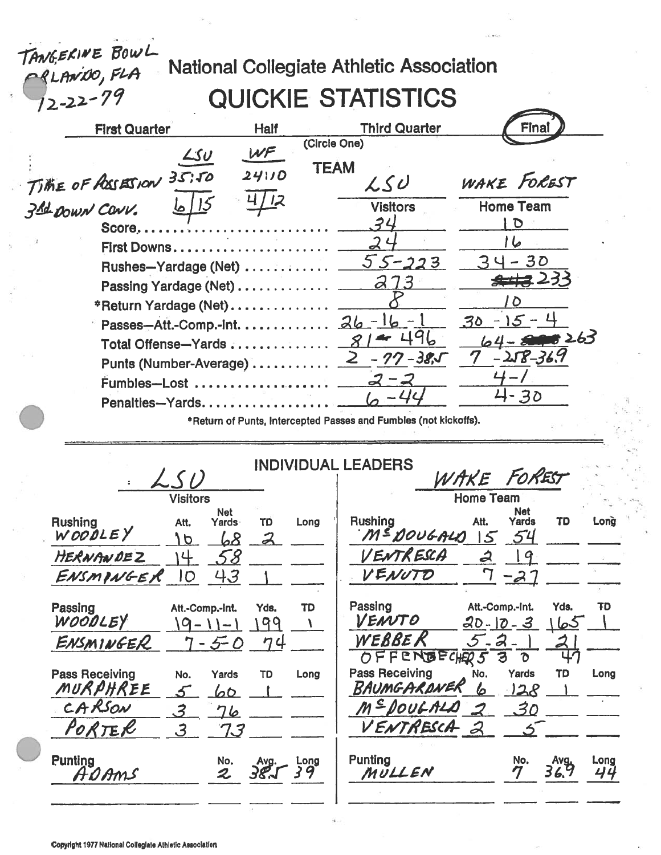# National Collegiate Athletic Association

## **QUICKIE STATISTICS**

| <b>National Collegiate Athletic Association</b>                         |                          |                       |
|-------------------------------------------------------------------------|--------------------------|-----------------------|
| TANGERINE BOWL<br>CRLANDO, FLA<br>12-22-79<br><b>QUICKIE STATISTICS</b> |                          |                       |
| <b>First Quarter</b><br><b>Half</b>                                     | <b>Third Quarter</b>     | Final                 |
| (Circle One)<br>WF<br><u>LSU</u>                                        |                          |                       |
| <b>TEAM</b><br>TIME OF ASSESSION 35.50<br>24110                         | LSU                      | WAKE FOREST           |
|                                                                         | <b>Visitors</b>          | <b>Home Team</b>      |
| $Score$                                                                 | 34                       | D                     |
| First Downs                                                             |                          |                       |
| Rushes-Yardage (Net)                                                    | $55 - 223$               | - 30                  |
| Passing Yardage (Net)                                                   | 73                       | <del>2112</del> 233   |
| *Return Yardage (Net)                                                   |                          |                       |
| Passes-Att.-Comp.-Int.                                                  | $26 - 16 -$              | 30<br>15 <sup>1</sup> |
| Total Offense-Yards                                                     |                          | $64 - 5000263$        |
| Punts (Number-Average)                                                  | - 77 - 38,5              | $-258 - 36.9$         |
| $F$ umbles—Lost                                                         |                          |                       |
| Penalties-Yards                                                         | $\mathcal{L}\mathcal{L}$ | 4-30                  |
|                                                                         |                          |                       |

\*Return of Punts, Intercepted Passes and Fumbles (not kickoffs).

|                                                                                          | <b>INDIVIDUAL LEADERS</b>   |                                                                                                                                  |  |
|------------------------------------------------------------------------------------------|-----------------------------|----------------------------------------------------------------------------------------------------------------------------------|--|
| LSD                                                                                      |                             | WAKE FOREST                                                                                                                      |  |
| <b>Visitors</b>                                                                          |                             | <b>Home Team</b>                                                                                                                 |  |
| <b>Net</b><br><b>Rushing</b><br>Att.<br>Yards<br>WOODLEY<br>68<br>$\sigma$               | מד<br>Long<br>$\mathcal{Z}$ | Net<br><b>Rushing</b><br>Att.<br>Yards<br>TD<br>Long<br>M=DOUGALD<br>54<br>$5^{\circ}$                                           |  |
| HERNANDEZ<br>58<br>4                                                                     |                             | VENTRESCA<br>2<br>19                                                                                                             |  |
| 43<br>ENSMINGER<br>IO                                                                    |                             | VENUTO<br>$-2$                                                                                                                   |  |
| Passing<br>Att.-Comp.-Int.<br>WOODLEY<br>$\rightarrow$ 1                                 | TD<br>Yds.<br>99            | Passing<br>Att.-Comp.-Int.<br>Yds.<br>ŦD<br>VENUTO<br>$20 - 10 - 3$<br><u>کما</u>                                                |  |
| ENSMINGER<br>$7 - 5 - 0$                                                                 | 74                          | WEBBE R<br>$5 - 2$<br>$2\overline{ }$<br>OFFENBECHERS<br>3<br>ზ                                                                  |  |
| <b>Pass Receiving</b><br>Yards<br>No.<br>MURPHREE<br>60<br>CARSON<br>$\mathcal{Z}$<br>76 | TD<br>Long                  | <b>Pass Receiving</b><br>Yards<br>No.<br>TD<br>Long<br>BAUMGARDNER<br>128<br>6<br>M <sup>E</sup> DOULALO<br>.30<br>$\mathcal{Z}$ |  |
| <sup>P</sup> ORTER<br>$\mathcal{S}$<br>73                                                |                             | VENTRESCA 2                                                                                                                      |  |
| <b>Punting</b><br>No.<br>AOAMS<br>$\boldsymbol{z}$                                       | Long<br>Avg.<br>381<br>39   | <b>Punting</b><br>No.<br>Long<br>Avg<br>36.9<br>MULLEN<br>44                                                                     |  |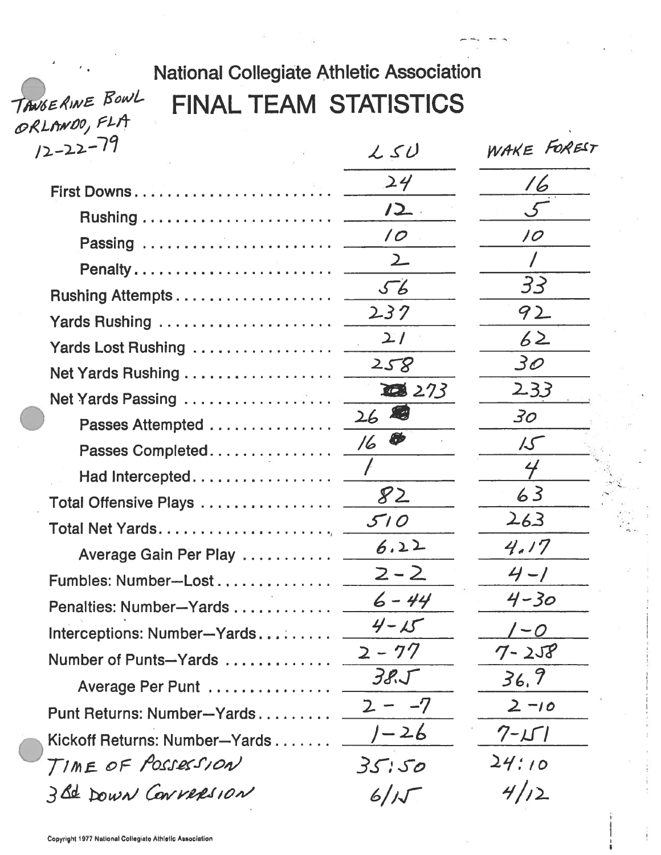# **National Collegiate Athletic Association FINAL TEAM STATISTICS**

WAKE FOREST  $12 - 22 - 79$  $250$  $24$  $\sqrt{6}$ First Downs. . . . . . . . . . . . . . .  $12.$ Rushing . . . . . . . . . . . . . . . . .  $\overline{O}$ 10 Passing .................  $\overline{2}$ Penalty.................... 33  $56$ Rushing Attempts.............  $237$ 92 Yards Rushing ................  $27$  $62$ Yards Lost Rushing ...........  $3\varrho$  $258$ Net Yards Rushing . . . . . . . . . . . .  $233$ 308 273 Net Yards Passing ........... 烟  $26$ 30 Passes Attempted . . . . . . . . . . . Ø 16  $\mathcal{L}\mathcal{S}$ Passes Completed............  $\overline{\mathcal{L}}$ Had Intercepted............  $82$  $63$ Total Offensive Plays . . . . . . . . . . .  $263$  $510$ Total Net Yards. . . . . . . . . . . . . .  $6.22$  $4.17$ Average Gain Per Play .......  $2 - 2$  $4 - 1$ Fumbles: Number-Lost.........  $6 - 44$  $4 - 30$ Penalties: Number-Yards . . . . . . .  $4 - 15$  $\prime$  -  $\circ$ Interceptions: Number-Yards.....  $7 - 258$  $2 - 77$ Number of Punts-Yards .......  $36, 9$  $385$ Average Per Punt ..........  $2 - -7$  $2 - 10$ Punt Returns: Number-Yards..... 1-26  $7 - 1 - 1$ Kickoff Returns: Number-Yards... TIME OF POSSESSION  $24:10$  $35.50$ 3 Bd DOWN CONVERSION  $4/12$  $6/15$ 

TANGERINE BOWL

ORLANDO, FLA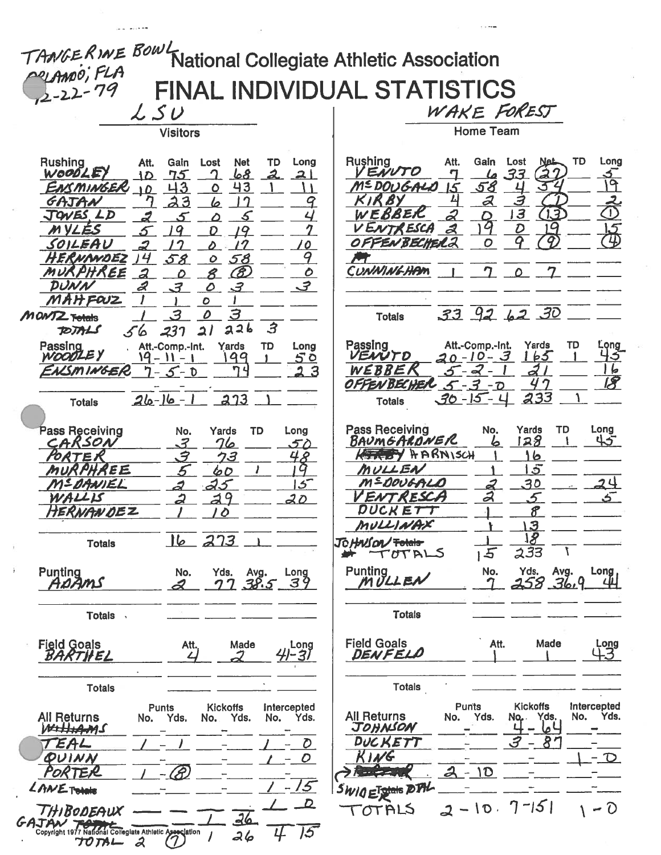| TANGERINE BowL<br>National Collegiate Athletic Association                                                        |                                                                                          |
|-------------------------------------------------------------------------------------------------------------------|------------------------------------------------------------------------------------------|
| PRIAMO; FLA                                                                                                       |                                                                                          |
|                                                                                                                   | FINAL INDIVIDUAL STATISTICS                                                              |
| LSU                                                                                                               | WAKE FOREST                                                                              |
| <b>Visitors</b>                                                                                                   | <b>Home Team</b>                                                                         |
|                                                                                                                   |                                                                                          |
| <b>Rushing</b><br>Att.<br><b>Net</b><br>TD<br>Long<br>Gain<br>Lost<br>WOODLEY<br><u>68</u><br>75<br>ി<br>10<br>21 | Rushing<br>TD<br>Lost<br>Long<br>Att.<br>Gain<br>Net-<br>VENVTO<br>33                    |
| 43<br>43<br>ENSMINGER<br>$\mathbf o$<br>10<br>3<br>$\gamma$                                                       | 9<br>M=DOUGALO<br><u>58</u><br>15<br>2<br>3                                              |
| GAJAN<br>6<br>9<br>JOVES LD<br>g                                                                                  | $\mathbb{T}$<br>$\overline{13}$<br>$\overline{1}$<br>WEBBER                              |
| M YLÉS<br>19                                                                                                      | VENTRESCA<br>q<br>15<br>$\boldsymbol{\psi}$                                              |
| SOILEAU<br>$\boldsymbol{o}$<br>9<br>HERNANDEZ<br>58<br>58<br>$\mathcal{O}$                                        | OFFENBECHEL2<br>O                                                                        |
| MURPHREE<br>$\mathcal{E}$<br>$\mathcal O$<br>$\overline{a}$<br>8                                                  | CUNNINGHAM<br>$\mathcal{O}$                                                              |
| DUNN<br>$\mathcal{A}$<br>$\mathcal{Z}$<br>$\mathcal{O}$<br>MAHFOUZ<br>ο                                           |                                                                                          |
| 3<br>З<br>0<br>MONTZ Totals                                                                                       | $33$ $92$ $62$ $30$<br><b>Totals</b>                                                     |
| $\mathbf{3}$<br>226<br>237<br>$\overline{\mathbf{A}}$<br>TOTALS<br>56                                             |                                                                                          |
| Passing<br>Yards<br>TD<br>Att.-Comp.-Int.<br>Long<br>WOODLEY<br>99<br>50<br>ا – ۱۱ – ۱                            | Passing<br>Att.-Comp.-Int.<br>Yards<br>TD<br>.ong<br>VENUTO<br>$20 - 10 - 3$<br>5<br>165 |
| <b>NSMINGER</b><br>$-5 - D$                                                                                       | WEBBER<br>b<br>$5 - 2$<br>18<br>OFFENBECHER<br>$5 - 3$<br>$-\overline{O}$                |
| 213<br>26-16-1<br><b>Totals</b>                                                                                   | <u>233</u><br>$30 - 15 - 4$<br><b>Totals</b>                                             |
|                                                                                                                   |                                                                                          |
| <b>Pass Receiving</b><br>Yards<br><b>TD</b><br>Long<br>No.<br>CARSON<br>3<br>76<br>50                             | <b>Pass Receiving</b><br>Long<br>Yards<br>TD<br>No.<br>128<br>45<br>BAUMGARDNER          |
| Э<br>4<br>クヨ<br>Ω<br><i>ORTE I</i>                                                                                | $H$ <b>ARN</b> ISCH<br>6                                                                 |
| MURPHREE<br>u<br>60<br>$\mathcal{S}$<br>25<br>MSDANIEL                                                            | $\mathcal{S}$<br>MULLEN<br>M=DOUGALO<br>30<br>24                                         |
| WALLIS<br>$\overline{9}$<br>ኅ<br>クハ                                                                               | VENTRESCA                                                                                |
| HERNANDEZ<br>$\mathcal{O}$                                                                                        | DUCKETT<br>$\boldsymbol{\mathcal{E}}$<br>MULLINAX<br>3                                   |
| 16 273<br><b>Totals</b>                                                                                           | 38<br>JoHnson Foldlar                                                                    |
|                                                                                                                   | 233<br>5<br>Y<br>TOTALS                                                                  |
| j.<br>Punting<br>ADAMS<br>Yds.<br>No.<br>Avg.<br>Long<br>$38.5 - 39$<br>2<br>77                                   | <b>Punting</b><br>Yds.<br>No.<br>Avg.<br>Long<br>MULLEN<br><u>258 .36.9</u>              |
|                                                                                                                   |                                                                                          |
| Totals .                                                                                                          | <b>Totals</b>                                                                            |
| <b>Field Goals</b><br>Made<br>Att.<br>Long                                                                        | <b>Field Goals</b><br>Att.<br>Made<br>Long<br>43                                         |
| 41-31<br>BARTHEL<br>J.<br>4                                                                                       | DENFELD                                                                                  |
| <b>Totals</b>                                                                                                     | <b>Totals</b>                                                                            |
| <b>Kickoffs</b><br>Intercepted<br>Punts                                                                           | <b>Kickoffs</b><br>Intercepted<br><b>Punts</b><br>Yds.                                   |
| <b>All Returns</b><br>No. Yds.<br>Yds.<br>No. Yds.<br>No.<br>WELLIAMS                                             | <b>All Returns</b><br>No.<br>Yds.<br>Yds.<br>No.<br>No.<br>JOHNSON<br>∟ما                |
| TEAL<br>O                                                                                                         | 87<br>DUCKETT<br>KING                                                                    |
| OUINN<br>D<br>PORTER<br>$\overline{\mathscr{B}}$                                                                  | $-\mathcal{D}$<br>1D<br>$\boldsymbol{\mathcal{A}}$                                       |
| $-15$<br>LANETOINE                                                                                                | SWIQ ET State DTH                                                                        |
| <u> D</u><br>THIBODEAUX<br>26                                                                                     | $7 - 151$<br>- 0<br>$-10$ .<br>2<br>TOTALS                                               |
| GAJAN<br>475<br>Copyright 1977 National Collegiate Athletic Association<br>26                                     |                                                                                          |
| (7)<br>$T$ $0$ $T$ $A$ $ 2$                                                                                       |                                                                                          |